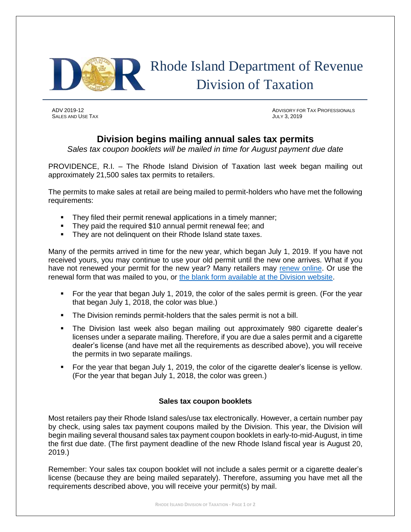

SALES AND USE TAX **SALES AND USE TAX SALES AND USE TAX JULY 3, 2019** 

ADV 2019-12 ADVISORY FOR TAX PROFESSIONALS

## **Division begins mailing annual sales tax permits**

*Sales tax coupon booklets will be mailed in time for August payment due date*

PROVIDENCE, R.I. – The Rhode Island Division of Taxation last week began mailing out approximately 21,500 sales tax permits to retailers.

The permits to make sales at retail are being mailed to permit-holders who have met the following requirements:

- **•** They filed their permit renewal applications in a timely manner;
- They paid the required \$10 annual permit renewal fee; and
- They are not delinguent on their Rhode Island state taxes.

Many of the permits arrived in time for the new year, which began July 1, 2019. If you have not received yours, you may continue to use your old permit until the new one arrives. What if you have not renewed your permit for the new year? Many retailers may [renew online.](https://www.ri.gov/taxation/business/) Or use the renewal form that was mailed to you, or [the blank form available at the Division website.](http://www.tax.ri.gov/forms/2019/Excise/Renewals/ST_REN_FYE2020_m.pdf)

- For the year that began July 1, 2019, the color of the sales permit is green. (For the year that began July 1, 2018, the color was blue.)
- **•** The Division reminds permit-holders that the sales permit is not a bill.
- The Division last week also began mailing out approximately 980 cigarette dealer's licenses under a separate mailing. Therefore, if you are due a sales permit and a cigarette dealer's license (and have met all the requirements as described above), you will receive the permits in two separate mailings.
- For the year that began July 1, 2019, the color of the cigarette dealer's license is yellow. (For the year that began July 1, 2018, the color was green.)

## **Sales tax coupon booklets**

Most retailers pay their Rhode Island sales/use tax electronically. However, a certain number pay by check, using sales tax payment coupons mailed by the Division. This year, the Division will begin mailing several thousand sales tax payment coupon booklets in early-to-mid-August, in time the first due date. (The first payment deadline of the new Rhode Island fiscal year is August 20, 2019.)

Remember: Your sales tax coupon booklet will not include a sales permit or a cigarette dealer's license (because they are being mailed separately). Therefore, assuming you have met all the requirements described above, you will receive your permit(s) by mail.